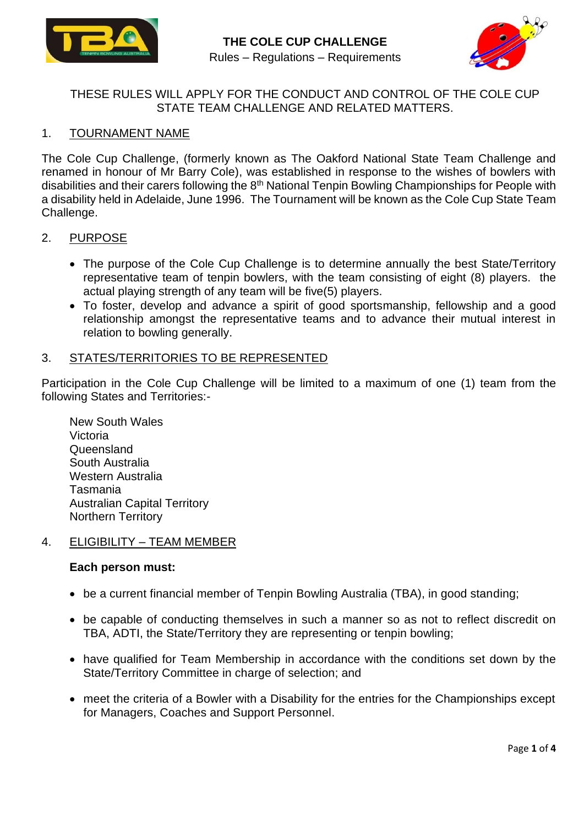



# THESE RULES WILL APPLY FOR THE CONDUCT AND CONTROL OF THE COLE CUP STATE TEAM CHALLENGE AND RELATED MATTERS.

# 1. TOURNAMENT NAME

The Cole Cup Challenge, (formerly known as The Oakford National State Team Challenge and renamed in honour of Mr Barry Cole), was established in response to the wishes of bowlers with disabilities and their carers following the 8<sup>th</sup> National Tenpin Bowling Championships for People with a disability held in Adelaide, June 1996. The Tournament will be known as the Cole Cup State Team Challenge.

### 2. PURPOSE

- The purpose of the Cole Cup Challenge is to determine annually the best State/Territory representative team of tenpin bowlers, with the team consisting of eight (8) players. the actual playing strength of any team will be five(5) players.
- To foster, develop and advance a spirit of good sportsmanship, fellowship and a good relationship amongst the representative teams and to advance their mutual interest in relation to bowling generally.

### 3. STATES/TERRITORIES TO BE REPRESENTED

Participation in the Cole Cup Challenge will be limited to a maximum of one (1) team from the following States and Territories:-

New South Wales Victoria **Queensland** South Australia Western Australia Tasmania Australian Capital Territory Northern Territory

### 4. ELIGIBILITY – TEAM MEMBER

### **Each person must:**

- be a current financial member of Tenpin Bowling Australia (TBA), in good standing;
- be capable of conducting themselves in such a manner so as not to reflect discredit on TBA, ADTI, the State/Territory they are representing or tenpin bowling;
- have qualified for Team Membership in accordance with the conditions set down by the State/Territory Committee in charge of selection; and
- meet the criteria of a Bowler with a Disability for the entries for the Championships except for Managers, Coaches and Support Personnel.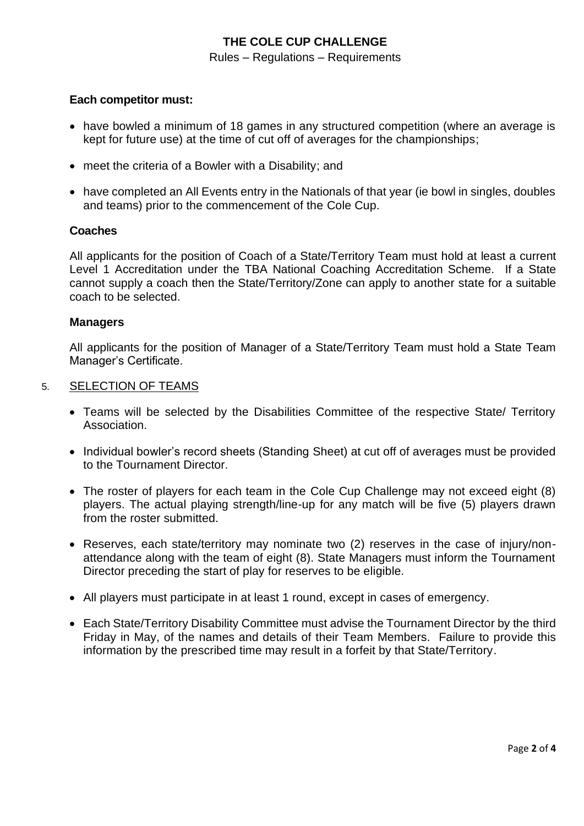# **THE COLE CUP CHALLENGE**

#### Rules – Regulations – Requirements

#### **Each competitor must:**

- have bowled a minimum of 18 games in any structured competition (where an average is kept for future use) at the time of cut off of averages for the championships;
- meet the criteria of a Bowler with a Disability; and
- have completed an All Events entry in the Nationals of that year (ie bowl in singles, doubles and teams) prior to the commencement of the Cole Cup.

### **Coaches**

All applicants for the position of Coach of a State/Territory Team must hold at least a current Level 1 Accreditation under the TBA National Coaching Accreditation Scheme. If a State cannot supply a coach then the State/Territory/Zone can apply to another state for a suitable coach to be selected.

### **Managers**

All applicants for the position of Manager of a State/Territory Team must hold a State Team Manager's Certificate.

#### 5. SELECTION OF TEAMS

- Teams will be selected by the Disabilities Committee of the respective State/ Territory Association.
- Individual bowler's record sheets (Standing Sheet) at cut off of averages must be provided to the Tournament Director.
- The roster of players for each team in the Cole Cup Challenge may not exceed eight (8) players. The actual playing strength/line-up for any match will be five (5) players drawn from the roster submitted.
- Reserves, each state/territory may nominate two (2) reserves in the case of injury/nonattendance along with the team of eight (8). State Managers must inform the Tournament Director preceding the start of play for reserves to be eligible.
- All players must participate in at least 1 round, except in cases of emergency.
- Each State/Territory Disability Committee must advise the Tournament Director by the third Friday in May, of the names and details of their Team Members. Failure to provide this information by the prescribed time may result in a forfeit by that State/Territory.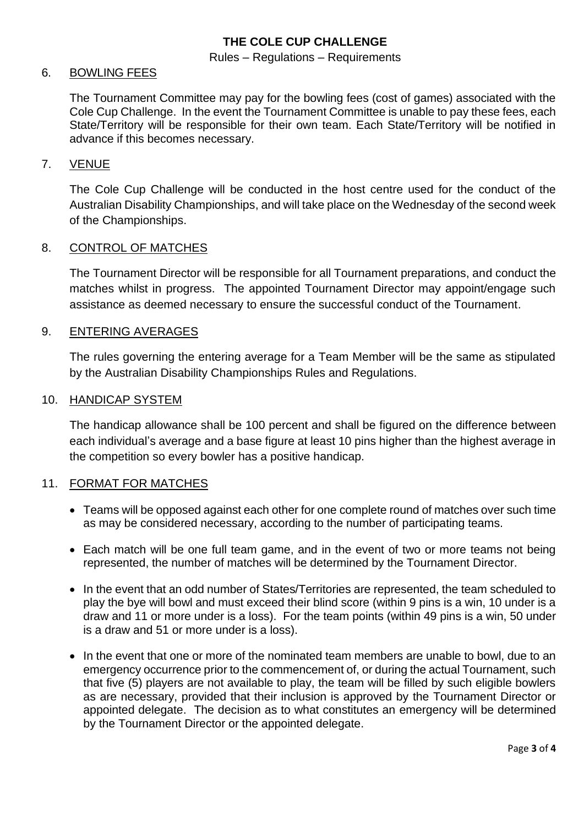## **THE COLE CUP CHALLENGE**

#### Rules – Regulations – Requirements

### 6. BOWLING FEES

The Tournament Committee may pay for the bowling fees (cost of games) associated with the Cole Cup Challenge. In the event the Tournament Committee is unable to pay these fees, each State/Territory will be responsible for their own team. Each State/Territory will be notified in advance if this becomes necessary.

#### 7. VENUE

The Cole Cup Challenge will be conducted in the host centre used for the conduct of the Australian Disability Championships, and will take place on the Wednesday of the second week of the Championships.

#### 8. CONTROL OF MATCHES

The Tournament Director will be responsible for all Tournament preparations, and conduct the matches whilst in progress. The appointed Tournament Director may appoint/engage such assistance as deemed necessary to ensure the successful conduct of the Tournament.

#### 9. ENTERING AVERAGES

The rules governing the entering average for a Team Member will be the same as stipulated by the Australian Disability Championships Rules and Regulations.

#### 10. HANDICAP SYSTEM

The handicap allowance shall be 100 percent and shall be figured on the difference between each individual's average and a base figure at least 10 pins higher than the highest average in the competition so every bowler has a positive handicap.

#### 11. FORMAT FOR MATCHES

- Teams will be opposed against each other for one complete round of matches over such time as may be considered necessary, according to the number of participating teams.
- Each match will be one full team game, and in the event of two or more teams not being represented, the number of matches will be determined by the Tournament Director.
- In the event that an odd number of States/Territories are represented, the team scheduled to play the bye will bowl and must exceed their blind score (within 9 pins is a win, 10 under is a draw and 11 or more under is a loss). For the team points (within 49 pins is a win, 50 under is a draw and 51 or more under is a loss).
- In the event that one or more of the nominated team members are unable to bowl, due to an emergency occurrence prior to the commencement of, or during the actual Tournament, such that five (5) players are not available to play, the team will be filled by such eligible bowlers as are necessary, provided that their inclusion is approved by the Tournament Director or appointed delegate. The decision as to what constitutes an emergency will be determined by the Tournament Director or the appointed delegate.